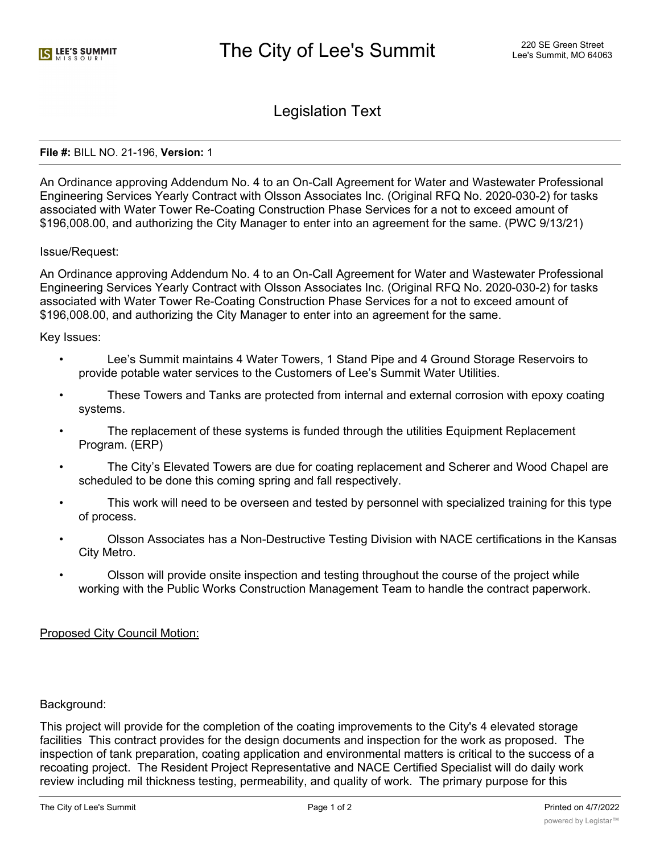Legislation Text

## **File #:** BILL NO. 21-196, **Version:** 1

An Ordinance approving Addendum No. 4 to an On-Call Agreement for Water and Wastewater Professional Engineering Services Yearly Contract with Olsson Associates Inc. (Original RFQ No. 2020-030-2) for tasks associated with Water Tower Re-Coating Construction Phase Services for a not to exceed amount of \$196,008.00, and authorizing the City Manager to enter into an agreement for the same. (PWC 9/13/21)

## Issue/Request:

An Ordinance approving Addendum No. 4 to an On-Call Agreement for Water and Wastewater Professional Engineering Services Yearly Contract with Olsson Associates Inc. (Original RFQ No. 2020-030-2) for tasks associated with Water Tower Re-Coating Construction Phase Services for a not to exceed amount of \$196,008.00, and authorizing the City Manager to enter into an agreement for the same.

## Key Issues:

- Lee's Summit maintains 4 Water Towers, 1 Stand Pipe and 4 Ground Storage Reservoirs to provide potable water services to the Customers of Lee's Summit Water Utilities.
- These Towers and Tanks are protected from internal and external corrosion with epoxy coating systems.
- The replacement of these systems is funded through the utilities Equipment Replacement Program. (ERP)
- The City's Elevated Towers are due for coating replacement and Scherer and Wood Chapel are scheduled to be done this coming spring and fall respectively.
- This work will need to be overseen and tested by personnel with specialized training for this type of process.
- Olsson Associates has a Non-Destructive Testing Division with NACE certifications in the Kansas City Metro.
- Olsson will provide onsite inspection and testing throughout the course of the project while working with the Public Works Construction Management Team to handle the contract paperwork.

# Proposed City Council Motion:

# Background:

This project will provide for the completion of the coating improvements to the City's 4 elevated storage facilities This contract provides for the design documents and inspection for the work as proposed. The inspection of tank preparation, coating application and environmental matters is critical to the success of a recoating project. The Resident Project Representative and NACE Certified Specialist will do daily work review including mil thickness testing, permeability, and quality of work. The primary purpose for this